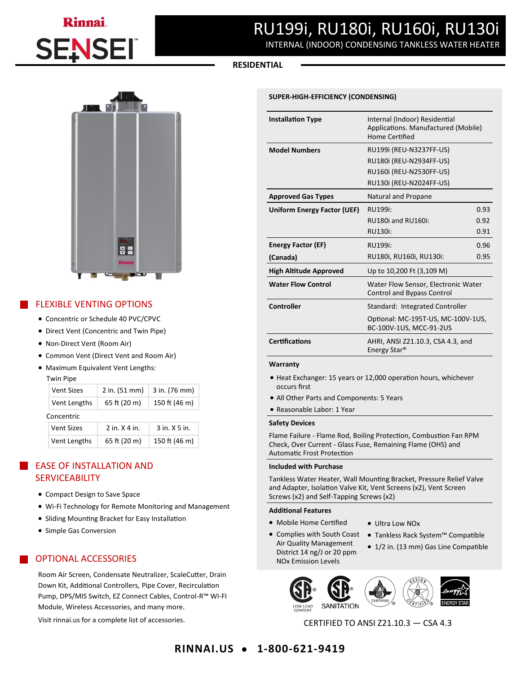# Rinnai **SEN**

# RU199i, RU180i, RU160i, RU130i

INTERNAL (INDOOR) CONDENSING TANKLESS WATER HEATER

### **RESIDENTIAL**

#### **SUPER-HIGH-EFFICIENCY (CONDENSING)**

| <b>Installation Type</b>      | Internal (Indoor) Residential<br>Applications. Manufactured (Mobile)<br><b>Home Certified</b> |      |
|-------------------------------|-----------------------------------------------------------------------------------------------|------|
| <b>Model Numbers</b>          | RU199i (REU-N3237FF-US)                                                                       |      |
|                               | RU180i (REU-N2934FF-US)                                                                       |      |
|                               | RU160i (REU-N2530FF-US)                                                                       |      |
|                               | RU130i (REU-N2024FF-US)                                                                       |      |
| <b>Approved Gas Types</b>     | Natural and Propane                                                                           |      |
| Uniform Energy Factor (UEF)   | RU199i:                                                                                       | 0.93 |
|                               | RU180i and RU160i:                                                                            | 0.92 |
|                               | RU130i:                                                                                       | 0.91 |
| <b>Energy Factor (EF)</b>     | 0.96<br>RU199i:                                                                               |      |
| (Canada)                      | RU180i, RU160i, RU130i:<br>0.95                                                               |      |
| <b>High Altitude Approved</b> | Up to 10,200 Ft (3,109 M)                                                                     |      |
| <b>Water Flow Control</b>     | Water Flow Sensor, Electronic Water<br><b>Control and Bypass Control</b>                      |      |
| <b>Controller</b>             | Standard: Integrated Controller                                                               |      |
|                               | Optional: MC-195T-US, MC-100V-1US,<br>BC-100V-1US, MCC-91-2US                                 |      |
| <b>Certifications</b>         | AHRI, ANSI Z21.10.3, CSA 4.3, and<br>Energy Star <sup>®</sup>                                 |      |

#### **Warranty**

- Heat Exchanger: 15 years or 12,000 operation hours, whichever occurs first
- All Other Parts and Components: 5 Years
- Reasonable Labor: 1 Year

#### **Safety Devices**

Flame Failure - Flame Rod, Boiling Protection, Combustion Fan RPM Check, Over Current - Glass Fuse, Remaining Flame (OHS) and Automatic Frost Protection

#### **Included with Purchase**

Tankless Water Heater, Wall Mounting Bracket, Pressure Relief Valve and Adapter, Isolation Valve Kit, Vent Screens (x2), Vent Screen Screws (x2) and Self-Tapping Screws (x2)

• Ultra Low NOx

#### **Additional Features**

• Mobile Home Certified • Complies with South Coast

Air Quality Management District 14 ng/J or 20 ppm NOx Emission Levels

- Tankless Rack System™ Compatible
- 1/2 in. (13 mm) Gas Line Compatible



CERTIFIED TO ANSI Z21.10.3 — CSA 4.3



## FLEXIBLE VENTING OPTIONS

- Concentric or Schedule 40 PVC/CPVC
- Direct Vent (Concentric and Twin Pipe)
- Non-Direct Vent (Room Air)
- Common Vent (Direct Vent and Room Air)
- Maximum Equivalent Vent Lengths:

|            | <b>Twin Pipe</b>  |                 |               |  |  |  |  |
|------------|-------------------|-----------------|---------------|--|--|--|--|
|            | <b>Vent Sizes</b> | $2$ in. (51 mm) | 3 in. (76 mm) |  |  |  |  |
|            | Vent Lengths      | 65 ft (20 m)    | 150 ft (46 m) |  |  |  |  |
| Concentric |                   |                 |               |  |  |  |  |
|            | <b>Vent Sizes</b> | $2$ in $x$ 4 in | 3 in. X 5 in. |  |  |  |  |
|            | Vent Lengths      | 65 ft (20 m)    | 150 ft (46 m) |  |  |  |  |

# EASE OF INSTALLATION AND **SERVICEABILITY**

- Compact Design to Save Space
- Wi-Fi Technology for Remote Monitoring and Management
- Sliding Mounting Bracket for Easy Installation
- Simple Gas Conversion

# OPTIONAL ACCESSORIES

Room Air Screen, Condensate Neutralizer, ScaleCutter, Drain Down Kit, Additional Controllers, Pipe Cover, Recirculation Pump, DPS/MIS Switch, EZ Connect Cables, Control-R™ WI-FI Module, Wireless Accessories, and many more.

Visit rinnai.us for a complete list of accessories.